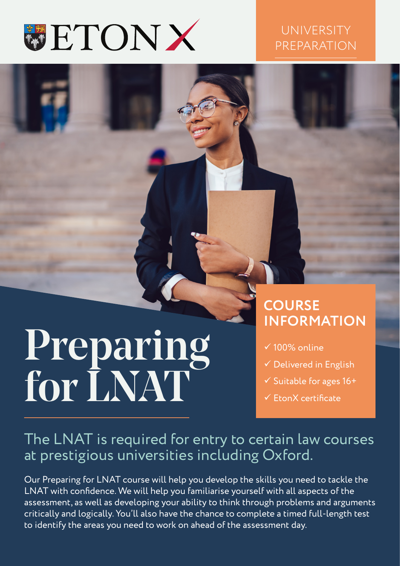

#### **UNIVERSITY** PREPARATION

# Preparing for LNAT

### **COURSE INFORMATION**

- $\times$  100% online
- $\checkmark$  Delivered in English
- $\checkmark$  Suitable for ages 16+
- $\checkmark$  FronX certificate

#### The LNAT is required for entry to certain law courses at prestigious universities including Oxford.

Our Preparing for LNAT course will help you develop the skills you need to tackle the LNAT with confidence. We will help you familiarise yourself with all aspects of the assessment, as well as developing your ability to think through problems and arguments critically and logically. You'll also have the chance to complete a timed full-length test to identify the areas you need to work on ahead of the assessment day.